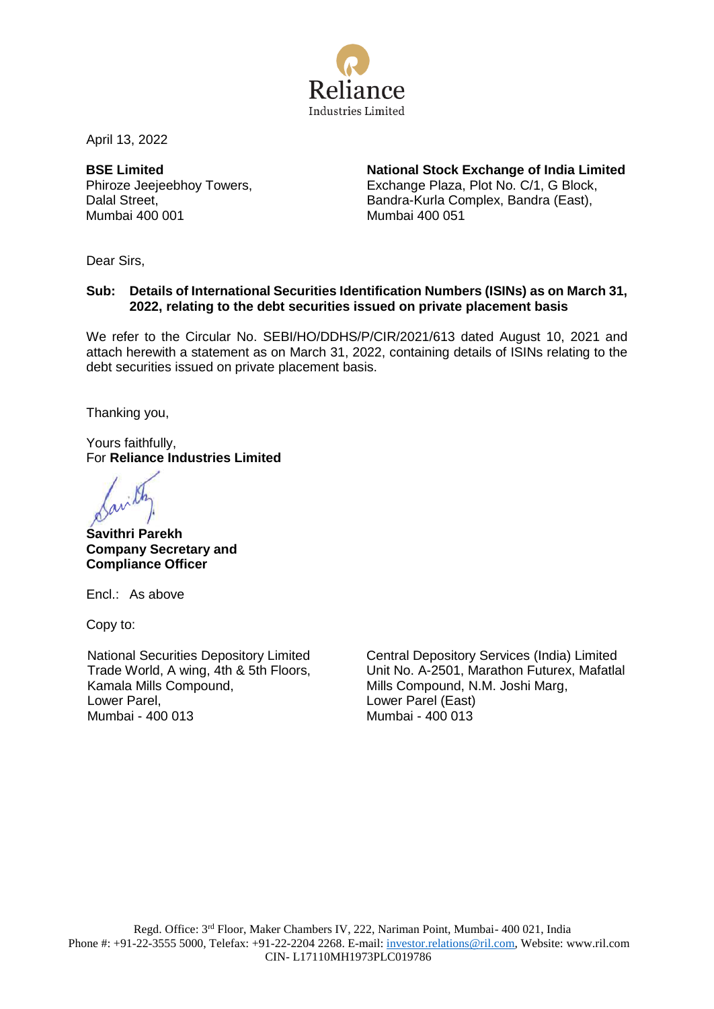

April 13, 2022

**BSE Limited** Phiroze Jeejeebhoy Towers, Dalal Street, Mumbai 400 001

**National Stock Exchange of India Limited** Exchange Plaza, Plot No. C/1, G Block, Bandra-Kurla Complex, Bandra (East), Mumbai 400 051

Dear Sirs,

## **Sub: Details of International Securities Identification Numbers (ISINs) as on March 31, 2022, relating to the debt securities issued on private placement basis**

We refer to the Circular No. SEBI/HO/DDHS/P/CIR/2021/613 dated August 10, 2021 and attach herewith a statement as on March 31, 2022, containing details of ISINs relating to the debt securities issued on private placement basis.

Thanking you,

Yours faithfully, For **Reliance Industries Limited**

**Savithri Parekh Company Secretary and Compliance Officer**

Encl.: As above

Copy to:

National Securities Depository Limited Trade World, A wing, 4th & 5th Floors, Kamala Mills Compound, Lower Parel, Mumbai - 400 013

Central Depository Services (India) Limited Unit No. A-2501, Marathon Futurex, Mafatlal Mills Compound, N.M. Joshi Marg, Lower Parel (East) Mumbai - 400 013